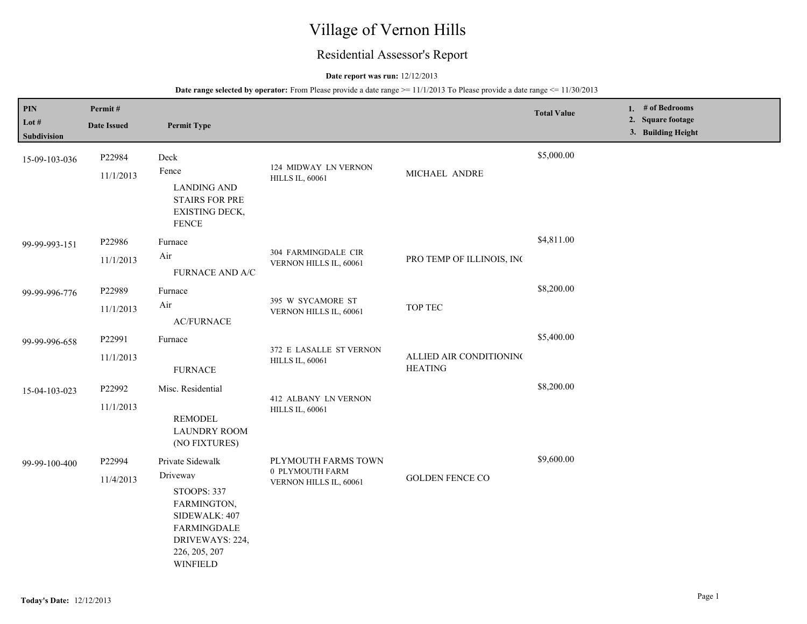# Village of Vernon Hills

## Residential Assessor's Report

## **Date report was run:** 12/12/2013

| PIN<br>Lot $#$<br>Subdivision | Permit#<br><b>Date Issued</b> | <b>Permit Type</b>                                                                                                                                              |                                                                  |                                           | <b>Total Value</b> | 1. # of Bedrooms<br>2. Square footage<br>3. Building Height |
|-------------------------------|-------------------------------|-----------------------------------------------------------------------------------------------------------------------------------------------------------------|------------------------------------------------------------------|-------------------------------------------|--------------------|-------------------------------------------------------------|
| 15-09-103-036                 | P22984<br>11/1/2013           | Deck<br>Fence<br><b>LANDING AND</b><br><b>STAIRS FOR PRE</b><br>EXISTING DECK,<br><b>FENCE</b>                                                                  | 124 MIDWAY LN VERNON<br><b>HILLS IL, 60061</b>                   | MICHAEL ANDRE                             | \$5,000.00         |                                                             |
| 99-99-993-151                 | P22986<br>11/1/2013           | Furnace<br>Air<br>FURNACE AND A/C                                                                                                                               | 304 FARMINGDALE CIR<br>VERNON HILLS IL, 60061                    | PRO TEMP OF ILLINOIS, INC                 | \$4,811.00         |                                                             |
| 99-99-996-776                 | P22989<br>11/1/2013           | Furnace<br>Air<br><b>AC/FURNACE</b>                                                                                                                             | 395 W SYCAMORE ST<br>VERNON HILLS IL, 60061                      | <b>TOP TEC</b>                            | \$8,200.00         |                                                             |
| 99-99-996-658                 | P22991<br>11/1/2013           | Furnace<br><b>FURNACE</b>                                                                                                                                       | 372 E LASALLE ST VERNON<br><b>HILLS IL, 60061</b>                | ALLIED AIR CONDITIONING<br><b>HEATING</b> | \$5,400.00         |                                                             |
| 15-04-103-023                 | P22992<br>11/1/2013           | Misc. Residential<br><b>REMODEL</b><br><b>LAUNDRY ROOM</b><br>(NO FIXTURES)                                                                                     | 412 ALBANY LN VERNON<br><b>HILLS IL, 60061</b>                   |                                           | \$8,200.00         |                                                             |
| 99-99-100-400                 | P22994<br>11/4/2013           | Private Sidewalk<br>Driveway<br><b>STOOPS: 337</b><br>FARMINGTON,<br>SIDEWALK: 407<br><b>FARMINGDALE</b><br>DRIVEWAYS: 224,<br>226, 205, 207<br><b>WINFIELD</b> | PLYMOUTH FARMS TOWN<br>0 PLYMOUTH FARM<br>VERNON HILLS IL, 60061 | <b>GOLDEN FENCE CO</b>                    | \$9,600.00         |                                                             |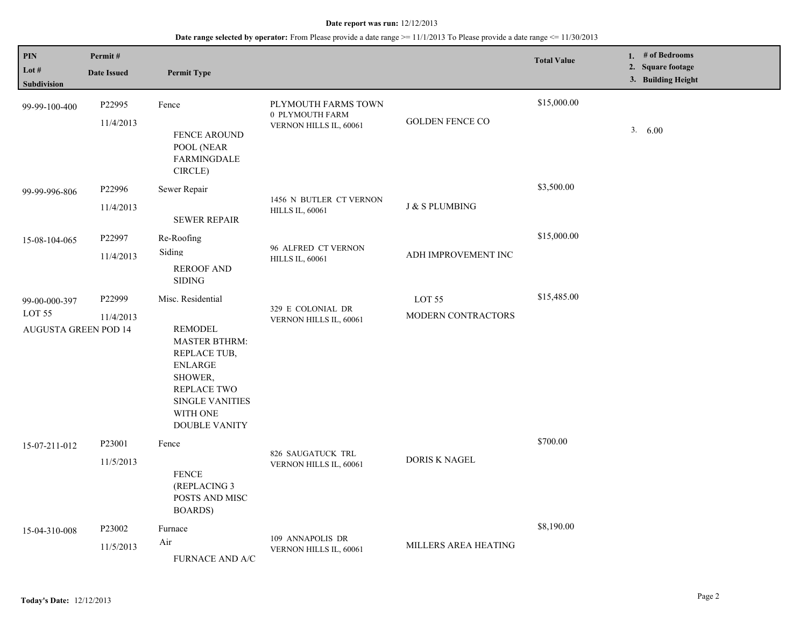| $\mathbf{PIN}$<br>Lot #<br>Subdivision                            | Permit#<br><b>Date Issued</b>   | <b>Permit Type</b>                                                                                                                                                                           |                                                                  |                              | <b>Total Value</b> | 1. # of Bedrooms<br>2. Square footage<br>3. Building Height |
|-------------------------------------------------------------------|---------------------------------|----------------------------------------------------------------------------------------------------------------------------------------------------------------------------------------------|------------------------------------------------------------------|------------------------------|--------------------|-------------------------------------------------------------|
| 99-99-100-400                                                     | P22995<br>11/4/2013             | Fence<br>FENCE AROUND<br>POOL (NEAR<br><b>FARMINGDALE</b><br>CIRCLE)                                                                                                                         | PLYMOUTH FARMS TOWN<br>0 PLYMOUTH FARM<br>VERNON HILLS IL, 60061 | <b>GOLDEN FENCE CO</b>       | \$15,000.00        | 3. 6.00                                                     |
| 99-99-996-806                                                     | P22996<br>11/4/2013             | Sewer Repair<br><b>SEWER REPAIR</b>                                                                                                                                                          | 1456 N BUTLER CT VERNON<br><b>HILLS IL, 60061</b>                | <b>J &amp; S PLUMBING</b>    | \$3,500.00         |                                                             |
| 15-08-104-065                                                     | P22997<br>11/4/2013             | Re-Roofing<br>Siding<br><b>REROOF AND</b><br><b>SIDING</b>                                                                                                                                   | 96 ALFRED CT VERNON<br><b>HILLS IL, 60061</b>                    | ADH IMPROVEMENT INC          | \$15,000.00        |                                                             |
| 99-00-000-397<br>LOT <sub>55</sub><br><b>AUGUSTA GREEN POD 14</b> | P22999<br>11/4/2013             | Misc. Residential<br><b>REMODEL</b><br><b>MASTER BTHRM:</b><br>REPLACE TUB,<br><b>ENLARGE</b><br>SHOWER,<br><b>REPLACE TWO</b><br><b>SINGLE VANITIES</b><br>WITH ONE<br><b>DOUBLE VANITY</b> | 329 E COLONIAL DR<br>VERNON HILLS IL, 60061                      | LOT 55<br>MODERN CONTRACTORS | \$15,485.00        |                                                             |
| 15-07-211-012                                                     | P <sub>23001</sub><br>11/5/2013 | Fence<br><b>FENCE</b><br>(REPLACING 3<br>POSTS AND MISC<br>BOARDS)                                                                                                                           | 826 SAUGATUCK TRL<br>VERNON HILLS IL, 60061                      | <b>DORIS K NAGEL</b>         | \$700.00           |                                                             |
| 15-04-310-008                                                     | P <sub>23002</sub><br>11/5/2013 | Furnace<br>Air<br>FURNACE AND A/C                                                                                                                                                            | 109 ANNAPOLIS DR<br>VERNON HILLS IL, 60061                       | MILLERS AREA HEATING         | \$8,190.00         |                                                             |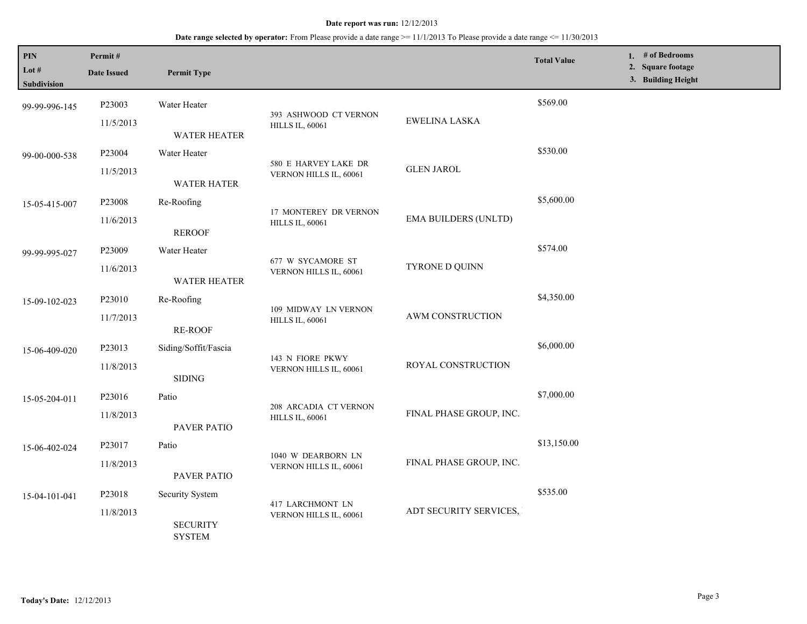## **Date range selected by operator:** From Please provide a date range >= 11/1/2013 To Please provide a date range <= 11/30/2013

| PIN<br>Lot #<br>Subdivision | Permit#<br><b>Date Issued</b>                 | <b>Permit Type</b>                                                   |                                                 |                             | <b>Total Value</b> | 1. # of Bedrooms<br>2. Square footage<br>3. Building Height |
|-----------------------------|-----------------------------------------------|----------------------------------------------------------------------|-------------------------------------------------|-----------------------------|--------------------|-------------------------------------------------------------|
| 99-99-996-145               | P23003                                        | Water Heater                                                         |                                                 |                             | \$569.00           |                                                             |
|                             | 11/5/2013                                     | <b>WATER HEATER</b>                                                  | 393 ASHWOOD CT VERNON<br><b>HILLS IL, 60061</b> | EWELINA LASKA               |                    |                                                             |
| 99-00-000-538               | P23004                                        | Water Heater                                                         |                                                 |                             | \$530.00           |                                                             |
|                             | 11/5/2013                                     | <b>WATER HATER</b>                                                   | 580 E HARVEY LAKE DR<br>VERNON HILLS IL, 60061  | <b>GLEN JAROL</b>           |                    |                                                             |
| 15-05-415-007               | P23008                                        | Re-Roofing                                                           |                                                 |                             | \$5,600.00         |                                                             |
|                             | 11/6/2013                                     | <b>REROOF</b>                                                        | 17 MONTEREY DR VERNON<br><b>HILLS IL, 60061</b> | <b>EMA BUILDERS (UNLTD)</b> |                    |                                                             |
| 99-99-995-027               | P23009                                        | Water Heater                                                         |                                                 |                             | \$574.00           |                                                             |
|                             | 11/6/2013                                     | <b>WATER HEATER</b>                                                  | 677 W SYCAMORE ST<br>VERNON HILLS IL, 60061     | TYRONE D QUINN              |                    |                                                             |
| 15-09-102-023               | P23010                                        | Re-Roofing                                                           | 109 MIDWAY LN VERNON<br><b>HILLS IL, 60061</b>  | AWM CONSTRUCTION            | \$4,350.00         |                                                             |
|                             | 11/7/2013                                     | <b>RE-ROOF</b>                                                       |                                                 |                             |                    |                                                             |
| 15-06-409-020               | P23013                                        | Siding/Soffit/Fascia                                                 |                                                 |                             | \$6,000.00         |                                                             |
|                             | 11/8/2013                                     | <b>SIDING</b>                                                        | 143 N FIORE PKWY<br>VERNON HILLS IL, 60061      | ROYAL CONSTRUCTION          |                    |                                                             |
| 15-05-204-011               | P23016                                        | Patio                                                                |                                                 |                             | \$7,000.00         |                                                             |
|                             | 11/8/2013                                     | PAVER PATIO                                                          | 208 ARCADIA CT VERNON<br><b>HILLS IL, 60061</b> | FINAL PHASE GROUP, INC.     |                    |                                                             |
| 15-06-402-024               | P23017                                        | Patio                                                                |                                                 |                             | \$13,150.00        |                                                             |
|                             | 11/8/2013                                     | PAVER PATIO                                                          | 1040 W DEARBORN LN<br>VERNON HILLS IL, 60061    | FINAL PHASE GROUP, INC.     |                    |                                                             |
| 15-04-101-041               | P23018                                        | Security System                                                      |                                                 |                             | \$535.00           |                                                             |
|                             | 11/8/2013<br><b>SECURITY</b><br><b>SYSTEM</b> | 417 LARCHMONT LN<br>ADT SECURITY SERVICES,<br>VERNON HILLS IL, 60061 |                                                 |                             |                    |                                                             |

L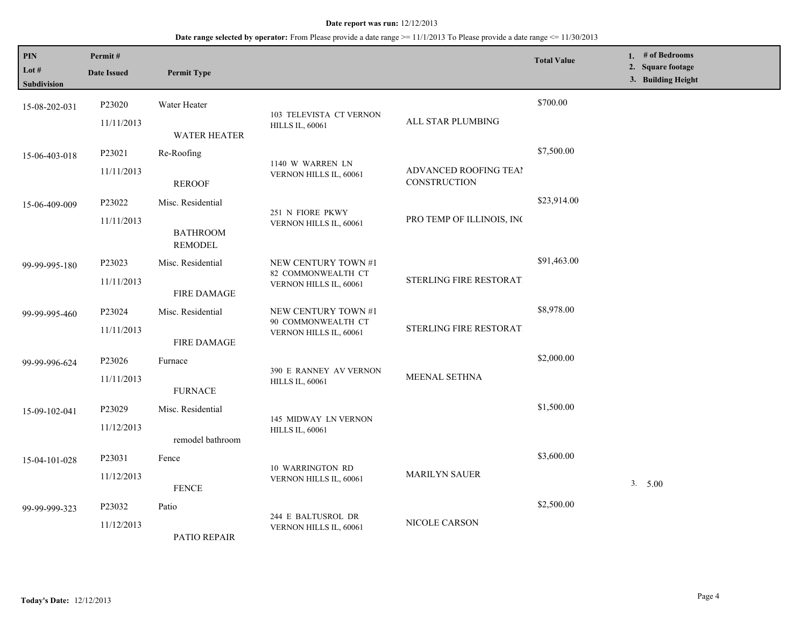| <b>PIN</b><br>Lot $#$<br>Subdivision | Permit#<br><b>Date Issued</b> | <b>Permit Type</b>                |                                           |                                       | <b>Total Value</b> | 1. # of Bedrooms<br>2. Square footage<br>3. Building Height |
|--------------------------------------|-------------------------------|-----------------------------------|-------------------------------------------|---------------------------------------|--------------------|-------------------------------------------------------------|
| 15-08-202-031                        | P23020                        | Water Heater                      | 103 TELEVISTA CT VERNON                   |                                       | \$700.00           |                                                             |
|                                      | 11/11/2013                    | <b>WATER HEATER</b>               | <b>HILLS IL, 60061</b>                    | ALL STAR PLUMBING                     |                    |                                                             |
| 15-06-403-018                        | P23021                        | Re-Roofing                        | 1140 W WARREN LN                          |                                       | \$7,500.00         |                                                             |
|                                      | 11/11/2013                    | <b>REROOF</b>                     | VERNON HILLS IL, 60061                    | ADVANCED ROOFING TEAI<br>CONSTRUCTION |                    |                                                             |
| 15-06-409-009                        | P23022                        | Misc. Residential                 | 251 N FIORE PKWY                          |                                       | \$23,914.00        |                                                             |
|                                      | 11/11/2013                    | <b>BATHROOM</b><br><b>REMODEL</b> | VERNON HILLS IL, 60061                    | PRO TEMP OF ILLINOIS, INC             |                    |                                                             |
| P23023<br>99-99-995-180              |                               | Misc. Residential                 | NEW CENTURY TOWN #1<br>82 COMMONWEALTH CT |                                       | \$91,463.00        |                                                             |
|                                      | 11/11/2013                    | <b>FIRE DAMAGE</b>                | VERNON HILLS IL, 60061                    | STERLING FIRE RESTORAT.               |                    |                                                             |
| 99-99-995-460                        | P23024                        | Misc. Residential                 | NEW CENTURY TOWN #1<br>90 COMMONWEALTH CT | STERLING FIRE RESTORAT.               | \$8,978.00         |                                                             |
|                                      | 11/11/2013                    | <b>FIRE DAMAGE</b>                | VERNON HILLS IL, 60061                    |                                       |                    |                                                             |
| 99-99-996-624                        | P23026                        | Furnace                           | 390 E RANNEY AV VERNON                    |                                       | \$2,000.00         |                                                             |
|                                      | 11/11/2013                    | <b>FURNACE</b>                    | <b>HILLS IL, 60061</b>                    | MEENAL SETHNA                         |                    |                                                             |
| 15-09-102-041                        | P23029                        | Misc. Residential                 | 145 MIDWAY LN VERNON                      |                                       | \$1,500.00         |                                                             |
|                                      | 11/12/2013                    | remodel bathroom                  | <b>HILLS IL, 60061</b>                    |                                       |                    |                                                             |
| 15-04-101-028                        | P23031                        | Fence                             | <b>10 WARRINGTON RD</b>                   |                                       | \$3,600.00         |                                                             |
|                                      | 11/12/2013                    | <b>FENCE</b>                      | VERNON HILLS IL, 60061                    | <b>MARILYN SAUER</b>                  |                    | 3. 5.00                                                     |
| 99-99-999-323                        | P <sub>23032</sub>            | Patio                             | 244 E BALTUSROL DR                        | NICOLE CARSON                         | \$2,500.00         |                                                             |
|                                      | 11/12/2013                    | PATIO REPAIR                      | VERNON HILLS IL, 60061                    |                                       |                    |                                                             |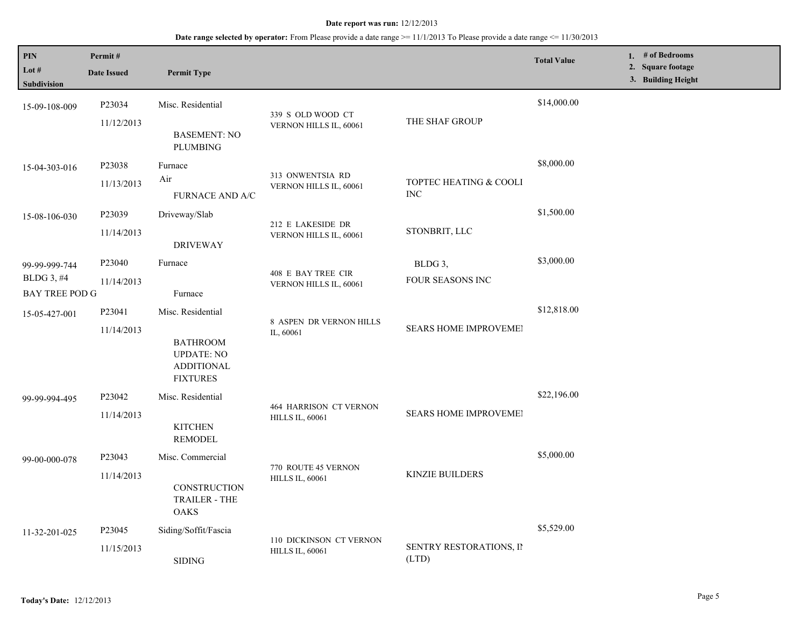| PIN<br>Lot $#$<br>Subdivision                        | Permit#<br><b>Date Issued</b>    | <b>Permit Type</b>                                                                                |                                                         |                                      | <b>Total Value</b> | 1. # of Bedrooms<br>2. Square footage<br>3. Building Height |
|------------------------------------------------------|----------------------------------|---------------------------------------------------------------------------------------------------|---------------------------------------------------------|--------------------------------------|--------------------|-------------------------------------------------------------|
| 15-09-108-009                                        | P23034<br>11/12/2013             | Misc. Residential<br><b>BASEMENT: NO</b><br><b>PLUMBING</b>                                       | 339 S OLD WOOD CT<br>VERNON HILLS IL, 60061             | THE SHAF GROUP                       | \$14,000.00        |                                                             |
| 15-04-303-016                                        | P23038<br>11/13/2013             | Furnace<br>Air<br>FURNACE AND A/C                                                                 | 313 ONWENTSIA RD<br>VERNON HILLS IL, 60061              | TOPTEC HEATING & COOLI<br><b>INC</b> | \$8,000.00         |                                                             |
| 15-08-106-030                                        | P23039<br>11/14/2013             | Driveway/Slab<br><b>DRIVEWAY</b>                                                                  | 212 E LAKESIDE DR<br>VERNON HILLS IL, 60061             | STONBRIT, LLC                        | \$1,500.00         |                                                             |
| 99-99-999-744<br>BLDG 3, #4<br><b>BAY TREE POD G</b> | P <sub>23040</sub><br>11/14/2013 | Furnace<br>Furnace                                                                                | 408 E BAY TREE CIR<br>VERNON HILLS IL, 60061            | BLDG 3,<br><b>FOUR SEASONS INC</b>   | \$3,000.00         |                                                             |
| 15-05-427-001                                        | P23041<br>11/14/2013             | Misc. Residential<br><b>BATHROOM</b><br><b>UPDATE: NO</b><br><b>ADDITIONAL</b><br><b>FIXTURES</b> | 8 ASPEN DR VERNON HILLS<br>IL, 60061                    | SEARS HOME IMPROVEMEI                | \$12,818.00        |                                                             |
| 99-99-994-495                                        | P23042<br>11/14/2013             | Misc. Residential<br><b>KITCHEN</b><br><b>REMODEL</b>                                             | <b>464 HARRISON CT VERNON</b><br><b>HILLS IL, 60061</b> | <b>SEARS HOME IMPROVEMEI</b>         | \$22,196.00        |                                                             |
| 99-00-000-078                                        | P23043<br>11/14/2013             | Misc. Commercial<br><b>CONSTRUCTION</b><br><b>TRAILER - THE</b><br>OAKS                           | 770 ROUTE 45 VERNON<br><b>HILLS IL, 60061</b>           | <b>KINZIE BUILDERS</b>               | \$5,000.00         |                                                             |
| 11-32-201-025                                        | P23045<br>11/15/2013             | Siding/Soffit/Fascia<br><b>SIDING</b>                                                             | 110 DICKINSON CT VERNON<br><b>HILLS IL, 60061</b>       | SENTRY RESTORATIONS, II<br>(LTD)     | \$5,529.00         |                                                             |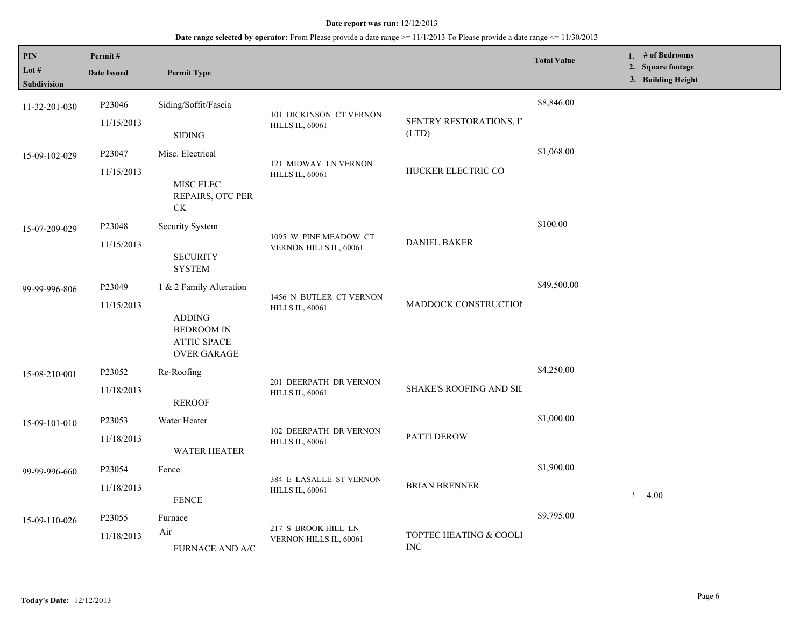| PIN<br>Lot #  | Permit#<br><b>Date Issued</b> | <b>Permit Type</b>                         |                                                   |                         | <b>Total Value</b> | 1. $#$ of Bedrooms<br>2. Square footage<br>3. Building Height |
|---------------|-------------------------------|--------------------------------------------|---------------------------------------------------|-------------------------|--------------------|---------------------------------------------------------------|
| Subdivision   |                               |                                            |                                                   |                         |                    |                                                               |
| 11-32-201-030 | P23046                        | Siding/Soffit/Fascia                       |                                                   |                         | \$8,846.00         |                                                               |
|               | 11/15/2013                    |                                            | 101 DICKINSON CT VERNON<br><b>HILLS IL, 60061</b> | SENTRY RESTORATIONS, II |                    |                                                               |
|               |                               | <b>SIDING</b>                              |                                                   | (LTD)                   |                    |                                                               |
| 15-09-102-029 | P23047                        | Misc. Electrical                           |                                                   |                         | \$1,068.00         |                                                               |
|               | 11/15/2013                    |                                            | 121 MIDWAY LN VERNON<br><b>HILLS IL, 60061</b>    | HUCKER ELECTRIC CO      |                    |                                                               |
|               |                               | MISC ELEC                                  |                                                   |                         |                    |                                                               |
|               |                               | REPAIRS, OTC PER<br>$\mathrm{C}\mathrm{K}$ |                                                   |                         |                    |                                                               |
|               |                               |                                            |                                                   |                         | \$100.00           |                                                               |
| 15-07-209-029 | P23048                        | Security System                            | 1095 W PINE MEADOW CT                             |                         |                    |                                                               |
|               | 11/15/2013                    | <b>SECURITY</b>                            | VERNON HILLS IL, 60061                            | <b>DANIEL BAKER</b>     |                    |                                                               |
|               |                               | <b>SYSTEM</b>                              |                                                   |                         |                    |                                                               |
| 99-99-996-806 | P <sub>23049</sub>            | 1 & 2 Family Alteration                    |                                                   |                         | \$49,500.00        |                                                               |
|               | 11/15/2013                    |                                            | 1456 N BUTLER CT VERNON                           | MADDOCK CONSTRUCTION    |                    |                                                               |
|               |                               | <b>ADDING</b>                              | <b>HILLS IL, 60061</b>                            |                         |                    |                                                               |
|               |                               | <b>BEDROOM IN</b>                          |                                                   |                         |                    |                                                               |
|               |                               | <b>ATTIC SPACE</b><br><b>OVER GARAGE</b>   |                                                   |                         |                    |                                                               |
|               | P23052                        | Re-Roofing                                 |                                                   |                         | \$4,250.00         |                                                               |
| 15-08-210-001 |                               |                                            | 201 DEERPATH DR VERNON                            | SHAKE'S ROOFING AND SIL |                    |                                                               |
|               | 11/18/2013                    | <b>REROOF</b>                              | <b>HILLS IL, 60061</b>                            |                         |                    |                                                               |
|               | P23053                        | Water Heater                               |                                                   |                         | \$1,000.00         |                                                               |
| 15-09-101-010 | 11/18/2013                    |                                            | 102 DEERPATH DR VERNON                            | PATTI DEROW             |                    |                                                               |
|               |                               | <b>WATER HEATER</b>                        | <b>HILLS IL, 60061</b>                            |                         |                    |                                                               |
| 99-99-996-660 | P23054                        | Fence                                      |                                                   |                         | \$1,900.00         |                                                               |
|               | 11/18/2013                    |                                            | 384 E LASALLE ST VERNON                           | <b>BRIAN BRENNER</b>    |                    |                                                               |
|               |                               | <b>FENCE</b>                               | <b>HILLS IL, 60061</b>                            |                         |                    | 3.4.00                                                        |
|               | P <sub>23055</sub>            | Furnace                                    |                                                   |                         | \$9,795.00         |                                                               |
| 15-09-110-026 |                               | Air                                        | 217 S BROOK HILL LN                               | TOPTEC HEATING & COOLI  |                    |                                                               |
|               | 11/18/2013                    | FURNACE AND A/C                            | VERNON HILLS IL, 60061                            | <b>INC</b>              |                    |                                                               |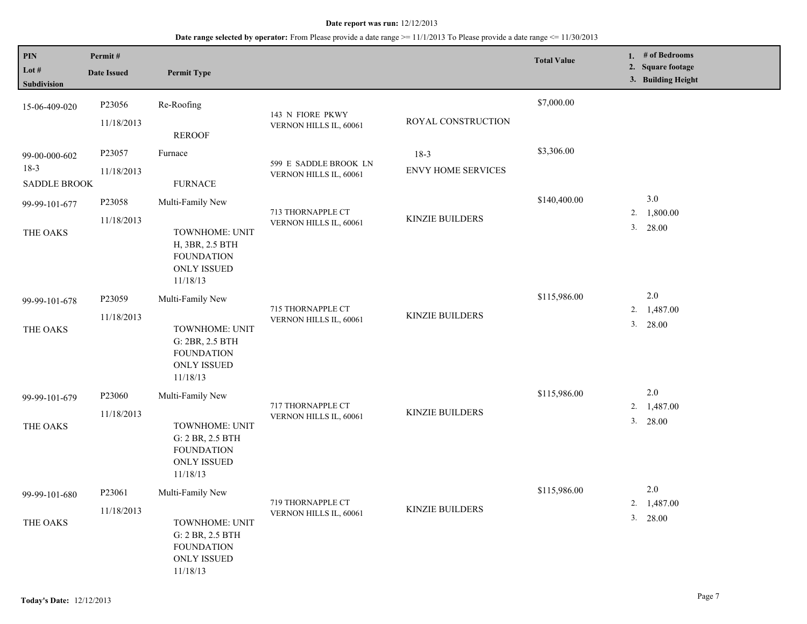| PIN<br>Lot $#$<br>Subdivision                  | Permit#<br><b>Date Issued</b> | <b>Permit Type</b>                                                                                            |                                                 |                                     | <b>Total Value</b> | 1. $#$ of Bedrooms<br>2. Square footage<br>3. Building Height |
|------------------------------------------------|-------------------------------|---------------------------------------------------------------------------------------------------------------|-------------------------------------------------|-------------------------------------|--------------------|---------------------------------------------------------------|
| 15-06-409-020                                  | P23056<br>11/18/2013          | Re-Roofing<br><b>REROOF</b>                                                                                   | 143 N FIORE PKWY<br>VERNON HILLS IL, 60061      | ROYAL CONSTRUCTION                  | \$7,000.00         |                                                               |
| 99-00-000-602<br>$18-3$<br><b>SADDLE BROOK</b> | P23057<br>11/18/2013          | Furnace<br>${\hbox{FURNACE}}$                                                                                 | 599 E SADDLE BROOK LN<br>VERNON HILLS IL, 60061 | $18-3$<br><b>ENVY HOME SERVICES</b> | \$3,306.00         |                                                               |
| 99-99-101-677<br>THE OAKS                      | P23058<br>11/18/2013          | Multi-Family New<br>TOWNHOME: UNIT<br>H, 3BR, 2.5 BTH<br><b>FOUNDATION</b><br><b>ONLY ISSUED</b><br>11/18/13  | 713 THORNAPPLE CT<br>VERNON HILLS IL, 60061     | <b>KINZIE BUILDERS</b>              | \$140,400.00       | 3.0<br>1,800.00<br>2.<br>3.<br>28.00                          |
| 99-99-101-678<br>THE OAKS                      | P23059<br>11/18/2013          | Multi-Family New<br>TOWNHOME: UNIT<br>G: 2BR, 2.5 BTH<br><b>FOUNDATION</b><br><b>ONLY ISSUED</b><br>11/18/13  | 715 THORNAPPLE CT<br>VERNON HILLS IL, 60061     | KINZIE BUILDERS                     | \$115,986.00       | $2.0\,$<br>1,487.00<br>2.<br>3. 28.00                         |
| 99-99-101-679<br>THE OAKS                      | P23060<br>11/18/2013          | Multi-Family New<br>TOWNHOME: UNIT<br>G: 2 BR, 2.5 BTH<br><b>FOUNDATION</b><br><b>ONLY ISSUED</b><br>11/18/13 | 717 THORNAPPLE CT<br>VERNON HILLS IL, 60061     | <b>KINZIE BUILDERS</b>              | \$115,986.00       | $2.0\,$<br>2.<br>1,487.00<br>3. 28.00                         |
| 99-99-101-680<br>THE OAKS                      | P23061<br>11/18/2013          | Multi-Family New<br>TOWNHOME: UNIT<br>G: 2 BR, 2.5 BTH<br><b>FOUNDATION</b><br><b>ONLY ISSUED</b><br>11/18/13 | 719 THORNAPPLE CT<br>VERNON HILLS IL, 60061     | <b>KINZIE BUILDERS</b>              | \$115,986.00       | $2.0\,$<br>2. $1,487.00$<br>3. 28.00                          |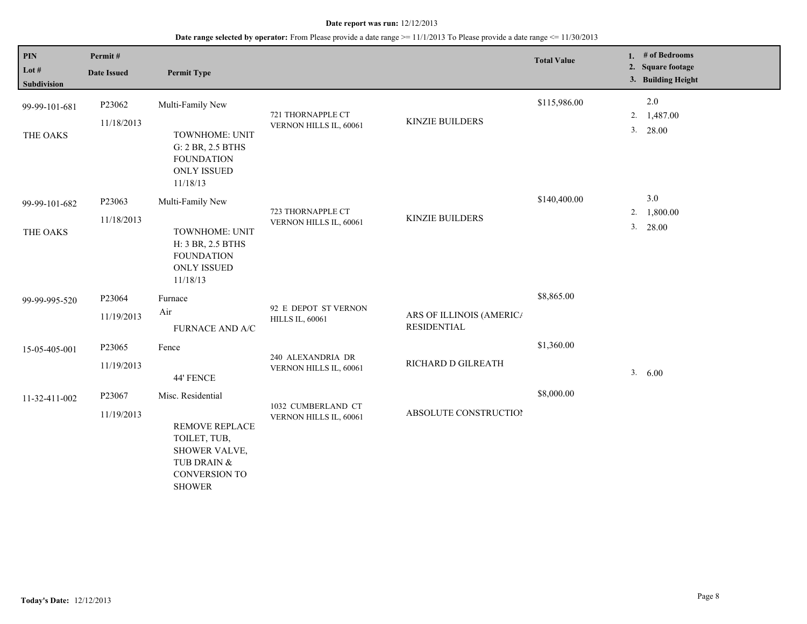| PIN                  | Permit#              |                                                                                                         |                                                |                                                | <b>Total Value</b> |    | 1. $#$ of Bedrooms                      |
|----------------------|----------------------|---------------------------------------------------------------------------------------------------------|------------------------------------------------|------------------------------------------------|--------------------|----|-----------------------------------------|
| Lot #<br>Subdivision | <b>Date Issued</b>   | <b>Permit Type</b>                                                                                      |                                                |                                                |                    |    | 2. Square footage<br>3. Building Height |
| 99-99-101-681        | P23062<br>11/18/2013 | Multi-Family New                                                                                        | 721 THORNAPPLE CT<br>VERNON HILLS IL, 60061    | <b>KINZIE BUILDERS</b>                         | \$115,986.00       |    | 2.0<br>2. 1,487.00                      |
| THE OAKS             |                      | TOWNHOME: UNIT<br>G: 2 BR, 2.5 BTHS<br><b>FOUNDATION</b><br><b>ONLY ISSUED</b><br>11/18/13              |                                                |                                                |                    | 3. | 28.00                                   |
| 99-99-101-682        | P23063               | Multi-Family New                                                                                        |                                                |                                                | \$140,400.00       |    | 3.0                                     |
|                      | 11/18/2013           |                                                                                                         | 723 THORNAPPLE CT<br>VERNON HILLS IL, 60061    | <b>KINZIE BUILDERS</b>                         |                    | 2. | 1,800.00                                |
| THE OAKS             |                      | TOWNHOME: UNIT<br>H: 3 BR, 2.5 BTHS<br><b>FOUNDATION</b><br><b>ONLY ISSUED</b><br>11/18/13              |                                                |                                                |                    | 3. | 28.00                                   |
| 99-99-995-520        | P23064               | Furnace                                                                                                 |                                                |                                                | \$8,865.00         |    |                                         |
|                      | 11/19/2013           | Air<br><b>FURNACE AND A/C</b>                                                                           | 92 E DEPOT ST VERNON<br><b>HILLS IL, 60061</b> | ARS OF ILLINOIS (AMERICA<br><b>RESIDENTIAL</b> |                    |    |                                         |
| 15-05-405-001        | P <sub>23065</sub>   | Fence                                                                                                   |                                                |                                                | \$1,360.00         |    |                                         |
|                      | 11/19/2013           | 44' FENCE                                                                                               | 240 ALEXANDRIA DR<br>VERNON HILLS IL, 60061    | RICHARD D GILREATH                             |                    | 3. | 6.00                                    |
| 11-32-411-002        | P23067               | Misc. Residential                                                                                       |                                                |                                                | \$8,000.00         |    |                                         |
|                      | 11/19/2013           | <b>REMOVE REPLACE</b><br>TOILET, TUB,<br>SHOWER VALVE,<br>TUB DRAIN &<br>CONVERSION TO<br><b>SHOWER</b> | 1032 CUMBERLAND CT<br>VERNON HILLS IL, 60061   | ABSOLUTE CONSTRUCTION                          |                    |    |                                         |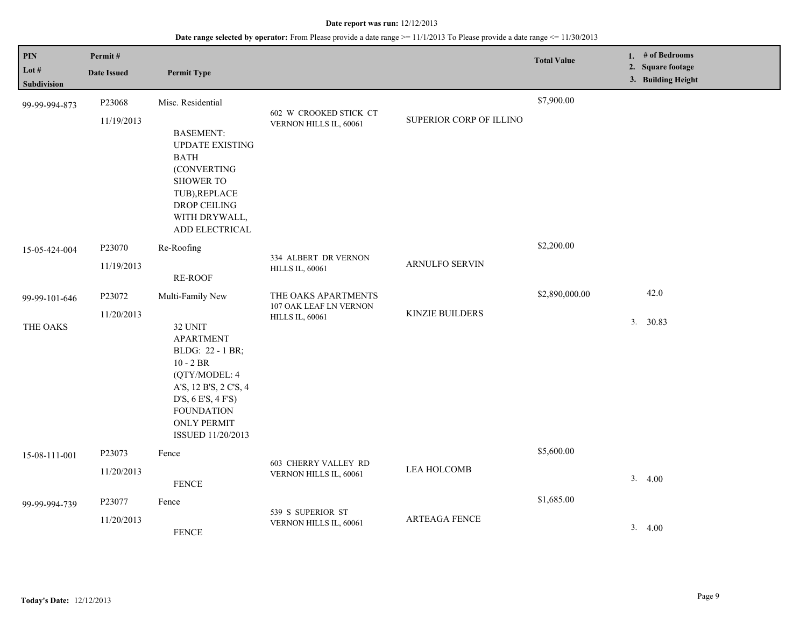| PIN<br>Lot $#$<br><b>Subdivision</b> | Permit#<br><b>Date Issued</b> | <b>Permit Type</b>                                                                                                                                                                                                 |                                                                         |                         | <b>Total Value</b> | 1. # of Bedrooms<br>2. Square footage<br>3. Building Height |
|--------------------------------------|-------------------------------|--------------------------------------------------------------------------------------------------------------------------------------------------------------------------------------------------------------------|-------------------------------------------------------------------------|-------------------------|--------------------|-------------------------------------------------------------|
| 99-99-994-873                        | P23068<br>11/19/2013          | Misc. Residential<br><b>BASEMENT:</b><br><b>UPDATE EXISTING</b><br><b>BATH</b><br>(CONVERTING<br><b>SHOWER TO</b><br>TUB), REPLACE<br>DROP CEILING<br>WITH DRYWALL,                                                | 602 W CROOKED STICK CT<br>VERNON HILLS IL, 60061                        | SUPERIOR CORP OF ILLINO | \$7,900.00         |                                                             |
| 15-05-424-004                        | P23070<br>11/19/2013          | ADD ELECTRICAL<br>Re-Roofing<br><b>RE-ROOF</b>                                                                                                                                                                     | 334 ALBERT DR VERNON<br><b>HILLS IL, 60061</b>                          | ARNULFO SERVIN          | \$2,200.00         |                                                             |
| 99-99-101-646<br>THE OAKS            | P23072<br>11/20/2013          | Multi-Family New<br>32 UNIT<br><b>APARTMENT</b><br>BLDG: 22 - 1 BR;<br>$10 - 2$ BR<br>(QTY/MODEL: 4<br>A'S, 12 B'S, 2 C'S, 4<br>D'S, 6 E'S, 4 F'S)<br><b>FOUNDATION</b><br><b>ONLY PERMIT</b><br>ISSUED 11/20/2013 | THE OAKS APARTMENTS<br>107 OAK LEAF LN VERNON<br><b>HILLS IL, 60061</b> | <b>KINZIE BUILDERS</b>  | \$2,890,000.00     | 42.0<br>3. 30.83                                            |
| 15-08-111-001                        | P23073<br>11/20/2013          | Fence<br><b>FENCE</b>                                                                                                                                                                                              | 603 CHERRY VALLEY RD<br>VERNON HILLS IL, 60061                          | LEA HOLCOMB             | \$5,600.00         | 3.4.00                                                      |
| 99-99-994-739                        | P23077<br>11/20/2013          | Fence<br><b>FENCE</b>                                                                                                                                                                                              | 539 S SUPERIOR ST<br>VERNON HILLS IL, 60061                             | <b>ARTEAGA FENCE</b>    | \$1,685.00         | 3.4.00                                                      |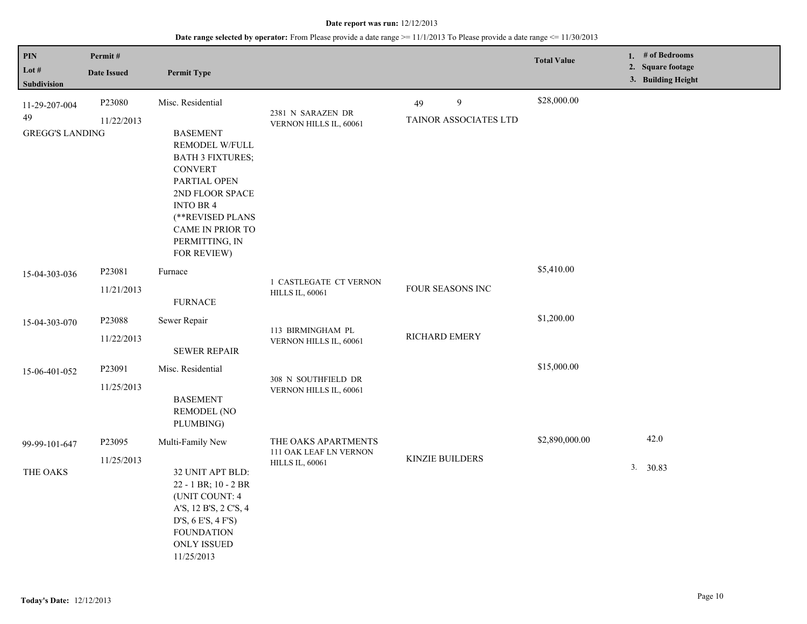| PIN<br>Lot $#$<br>Subdivision                 | Permit#<br><b>Date Issued</b>    | <b>Permit Type</b>                                                                                                                                                                                                                        |                                                                         |                                  | <b>Total Value</b> | 1. $#$ of Bedrooms<br>2. Square footage<br>3. Building Height |
|-----------------------------------------------|----------------------------------|-------------------------------------------------------------------------------------------------------------------------------------------------------------------------------------------------------------------------------------------|-------------------------------------------------------------------------|----------------------------------|--------------------|---------------------------------------------------------------|
| 11-29-207-004<br>49<br><b>GREGG'S LANDING</b> | P23080<br>11/22/2013             | Misc. Residential<br><b>BASEMENT</b><br>REMODEL W/FULL<br><b>BATH 3 FIXTURES;</b><br><b>CONVERT</b><br>PARTIAL OPEN<br>2ND FLOOR SPACE<br><b>INTO BR4</b><br>(**REVISED PLANS<br><b>CAME IN PRIOR TO</b><br>PERMITTING, IN<br>FOR REVIEW) | 2381 N SARAZEN DR<br>VERNON HILLS IL, 60061                             | 9<br>49<br>TAINOR ASSOCIATES LTD | \$28,000.00        |                                                               |
| 15-04-303-036                                 | P23081<br>11/21/2013             | Furnace<br><b>FURNACE</b>                                                                                                                                                                                                                 | 1 CASTLEGATE CT VERNON<br><b>HILLS IL, 60061</b>                        | <b>FOUR SEASONS INC</b>          | \$5,410.00         |                                                               |
| 15-04-303-070                                 | P23088<br>11/22/2013             | Sewer Repair<br><b>SEWER REPAIR</b>                                                                                                                                                                                                       | 113 BIRMINGHAM PL<br>VERNON HILLS IL, 60061                             | RICHARD EMERY                    | \$1,200.00         |                                                               |
| 15-06-401-052                                 | P23091<br>11/25/2013             | Misc. Residential<br><b>BASEMENT</b><br><b>REMODEL (NO</b><br>PLUMBING)                                                                                                                                                                   | 308 N SOUTHFIELD DR<br>VERNON HILLS IL, 60061                           |                                  | \$15,000.00        |                                                               |
| 99-99-101-647<br>THE OAKS                     | P <sub>23095</sub><br>11/25/2013 | Multi-Family New<br>32 UNIT APT BLD:<br>22 - 1 BR; 10 - 2 BR<br>(UNIT COUNT: 4<br>A'S, 12 B'S, 2 C'S, 4<br>D'S, 6 E'S, 4 F'S)<br><b>FOUNDATION</b><br><b>ONLY ISSUED</b>                                                                  | THE OAKS APARTMENTS<br>111 OAK LEAF LN VERNON<br><b>HILLS IL, 60061</b> | KINZIE BUILDERS                  | \$2,890,000.00     | 42.0<br>3. 30.83                                              |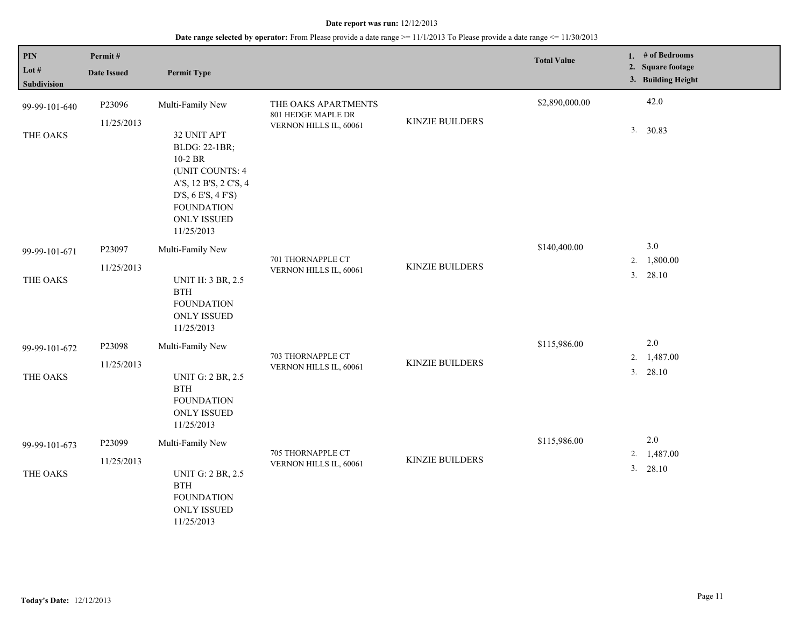| $\overline{PIN}$<br>Lot $#$<br>Subdivision | Permit#<br><b>Date Issued</b> | <b>Permit Type</b>                                                                                        |                                              |                        | <b>Total Value</b> | 1. # of Bedrooms<br>2. Square footage<br>3. Building Height |
|--------------------------------------------|-------------------------------|-----------------------------------------------------------------------------------------------------------|----------------------------------------------|------------------------|--------------------|-------------------------------------------------------------|
| 99-99-101-640                              | P23096                        | Multi-Family New                                                                                          | THE OAKS APARTMENTS                          |                        | \$2,890,000.00     | 42.0                                                        |
| THE OAKS                                   | 11/25/2013                    | 32 UNIT APT<br>BLDG: 22-1BR;<br>10-2 BR<br>(UNIT COUNTS: 4<br>A'S, 12 B'S, 2 C'S, 4<br>D'S, 6 E'S, 4 F'S) | 801 HEDGE MAPLE DR<br>VERNON HILLS IL, 60061 | <b>KINZIE BUILDERS</b> |                    | 3. 30.83                                                    |
|                                            |                               | <b>FOUNDATION</b><br><b>ONLY ISSUED</b><br>11/25/2013                                                     |                                              |                        |                    |                                                             |
| 99-99-101-671                              | P23097                        | Multi-Family New                                                                                          |                                              |                        | \$140,400.00       | 3.0                                                         |
|                                            | 11/25/2013                    |                                                                                                           | 701 THORNAPPLE CT<br>VERNON HILLS IL, 60061  | <b>KINZIE BUILDERS</b> |                    | 1,800.00<br>2.<br>3.<br>28.10                               |
| THE OAKS                                   |                               | <b>UNIT H: 3 BR, 2.5</b><br><b>BTH</b><br><b>FOUNDATION</b><br><b>ONLY ISSUED</b><br>11/25/2013           |                                              |                        |                    |                                                             |
| 99-99-101-672                              | P23098                        | Multi-Family New                                                                                          |                                              |                        | \$115,986.00       | $2.0\,$                                                     |
|                                            | 11/25/2013                    |                                                                                                           | 703 THORNAPPLE CT<br>VERNON HILLS IL, 60061  | <b>KINZIE BUILDERS</b> |                    | 1,487.00<br>2.<br>3. 28.10                                  |
| THE OAKS                                   |                               | <b>UNIT G: 2 BR, 2.5</b><br>$\operatorname{BTH}$<br><b>FOUNDATION</b><br><b>ONLY ISSUED</b><br>11/25/2013 |                                              |                        |                    |                                                             |
| 99-99-101-673                              | P23099                        | Multi-Family New                                                                                          |                                              |                        | \$115,986.00       | 2.0                                                         |
| THE OAKS                                   | 11/25/2013                    | <b>UNIT G: 2 BR, 2.5</b><br>$\operatorname{BTH}$<br><b>FOUNDATION</b><br><b>ONLY ISSUED</b><br>11/25/2013 | 705 THORNAPPLE CT<br>VERNON HILLS IL, 60061  | <b>KINZIE BUILDERS</b> |                    | 2. 1,487.00<br>3. 28.10                                     |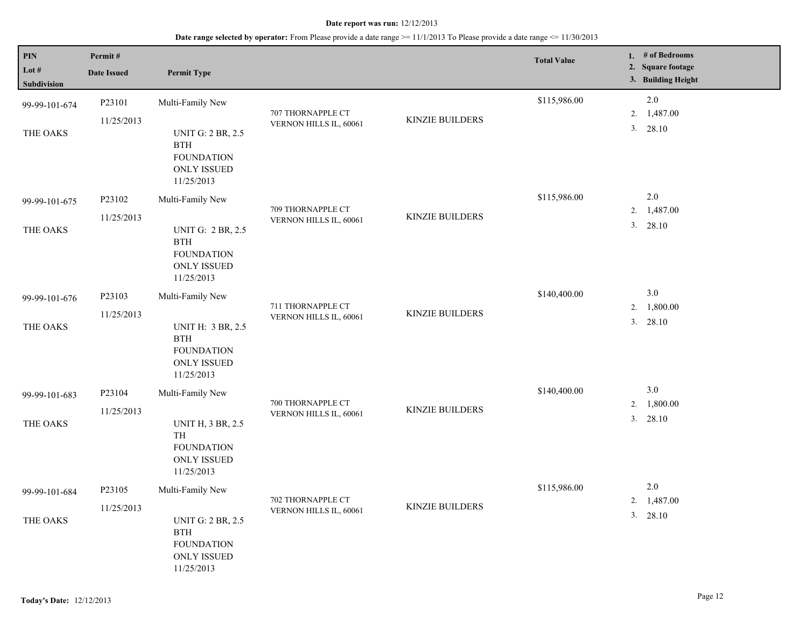| PIN                    | Permit#            |                                                                                                           |                        |                        | <b>Total Value</b> | 1. $#$ of Bedrooms                      |
|------------------------|--------------------|-----------------------------------------------------------------------------------------------------------|------------------------|------------------------|--------------------|-----------------------------------------|
| Lot $#$<br>Subdivision | <b>Date Issued</b> | <b>Permit Type</b>                                                                                        |                        |                        |                    | 2. Square footage<br>3. Building Height |
| 99-99-101-674          | P23101             | Multi-Family New                                                                                          | 707 THORNAPPLE CT      |                        | \$115,986.00       | 2.0<br>1,487.00<br>2.                   |
| THE OAKS               | 11/25/2013         | <b>UNIT G: 2 BR, 2.5</b><br>$\operatorname{BTH}$<br><b>FOUNDATION</b><br><b>ONLY ISSUED</b><br>11/25/2013 | VERNON HILLS IL, 60061 | <b>KINZIE BUILDERS</b> |                    | 3. 28.10                                |
| 99-99-101-675          | P23102             | Multi-Family New                                                                                          | 709 THORNAPPLE CT      |                        | \$115,986.00       | 2.0<br>2. 1,487.00                      |
| THE OAKS               | 11/25/2013         | <b>UNIT G: 2 BR, 2.5</b><br><b>BTH</b><br><b>FOUNDATION</b><br><b>ONLY ISSUED</b><br>11/25/2013           | VERNON HILLS IL, 60061 | KINZIE BUILDERS        |                    | 3. 28.10                                |
| 99-99-101-676          | P23103             | Multi-Family New                                                                                          | 711 THORNAPPLE CT      |                        | \$140,400.00       | 3.0<br>1,800.00<br>2.                   |
| THE OAKS               | 11/25/2013         | <b>UNIT H: 3 BR, 2.5</b><br><b>BTH</b><br><b>FOUNDATION</b><br><b>ONLY ISSUED</b><br>11/25/2013           | VERNON HILLS IL, 60061 | <b>KINZIE BUILDERS</b> |                    | 3. 28.10                                |
| 99-99-101-683          | P23104             | Multi-Family New                                                                                          | 700 THORNAPPLE CT      |                        | \$140,400.00       | 3.0<br>1,800.00<br>2.                   |
| THE OAKS               | 11/25/2013         | <b>UNIT H, 3 BR, 2.5</b><br>TH<br><b>FOUNDATION</b><br><b>ONLY ISSUED</b><br>11/25/2013                   | VERNON HILLS IL, 60061 | <b>KINZIE BUILDERS</b> |                    | 3.<br>28.10                             |
| 99-99-101-684          | P23105             | Multi-Family New                                                                                          | 702 THORNAPPLE CT      |                        | \$115,986.00       | $2.0\,$<br>1,487.00                     |
| THE OAKS               | 11/25/2013         | <b>UNIT G: 2 BR, 2.5</b><br><b>BTH</b><br><b>FOUNDATION</b><br><b>ONLY ISSUED</b><br>11/25/2013           | VERNON HILLS IL, 60061 | KINZIE BUILDERS        |                    | 2.<br>$3. \quad 28.10$                  |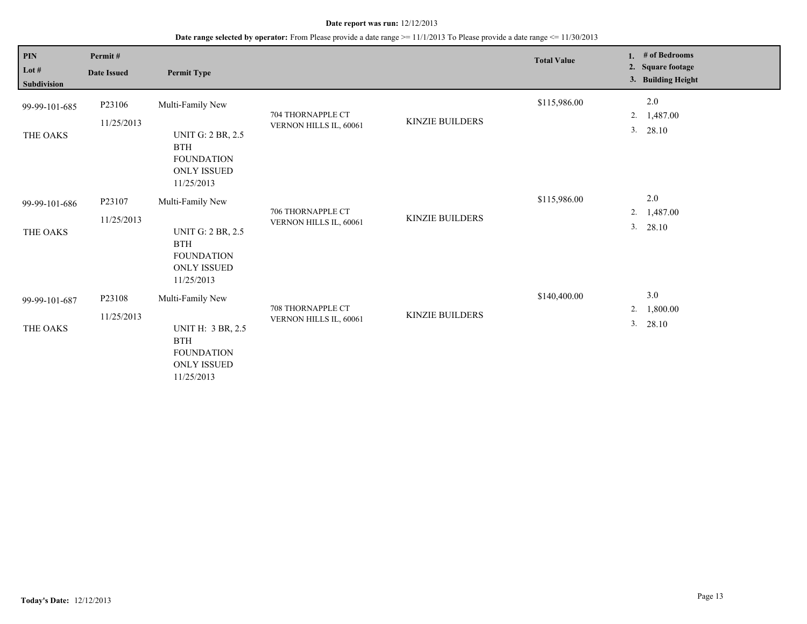| PIN<br>Lot $#$<br>Subdivision | Permit#<br><b>Date Issued</b> | <b>Permit Type</b>                                                                                                  |                                             |                        | <b>Total Value</b> | # of Bedrooms<br>1.<br><b>Square footage</b><br>2.<br>3. Building Height |
|-------------------------------|-------------------------------|---------------------------------------------------------------------------------------------------------------------|---------------------------------------------|------------------------|--------------------|--------------------------------------------------------------------------|
| 99-99-101-685<br>THE OAKS     | P23106<br>11/25/2013          | Multi-Family New<br><b>UNIT G: 2 BR, 2.5</b><br><b>BTH</b><br><b>FOUNDATION</b><br><b>ONLY ISSUED</b><br>11/25/2013 | 704 THORNAPPLE CT<br>VERNON HILLS IL, 60061 | <b>KINZIE BUILDERS</b> | \$115,986.00       | 2.0<br>1,487.00<br>2.<br>3.<br>28.10                                     |
| 99-99-101-686<br>THE OAKS     | P23107<br>11/25/2013          | Multi-Family New<br><b>UNIT G: 2 BR, 2.5</b><br><b>BTH</b><br><b>FOUNDATION</b><br><b>ONLY ISSUED</b><br>11/25/2013 | 706 THORNAPPLE CT<br>VERNON HILLS IL, 60061 | KINZIE BUILDERS        | \$115,986.00       | 2.0<br>1,487.00<br>2.<br>3.<br>28.10                                     |
| 99-99-101-687<br>THE OAKS     | P23108<br>11/25/2013          | Multi-Family New<br><b>UNIT H: 3 BR, 2.5</b><br><b>BTH</b><br><b>FOUNDATION</b><br><b>ONLY ISSUED</b><br>11/25/2013 | 708 THORNAPPLE CT<br>VERNON HILLS IL, 60061 | <b>KINZIE BUILDERS</b> | \$140,400.00       | 3.0<br>1,800.00<br>2.<br>$3. \quad 28.10$                                |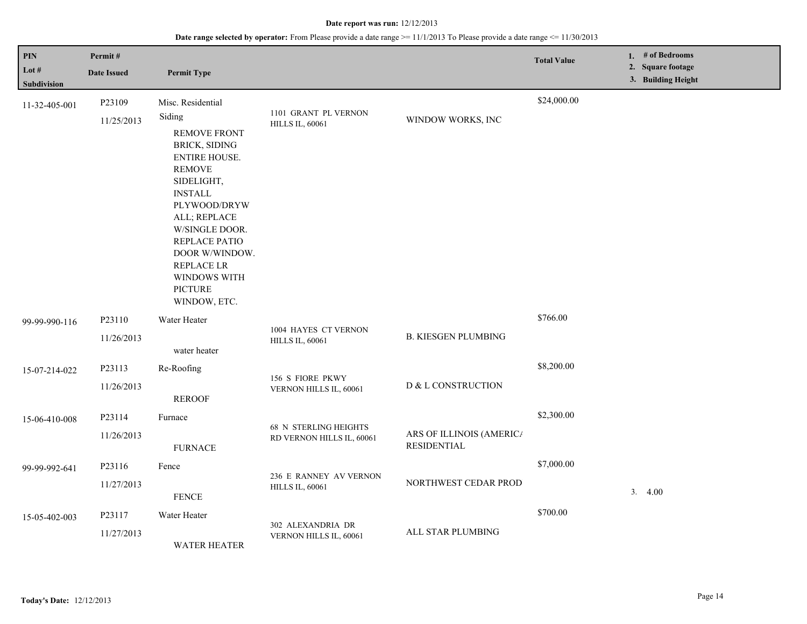| PIN<br>Lot $#$               | Permit#<br><b>Date Issued</b> | <b>Permit Type</b>                                                                                                                                                                                 |                                                           |                                                | <b>Total Value</b> | 1. # of Bedrooms<br>2. Square footage |
|------------------------------|-------------------------------|----------------------------------------------------------------------------------------------------------------------------------------------------------------------------------------------------|-----------------------------------------------------------|------------------------------------------------|--------------------|---------------------------------------|
| Subdivision<br>11-32-405-001 | P23109<br>11/25/2013          | Misc. Residential<br>Siding<br><b>REMOVE FRONT</b><br><b>BRICK, SIDING</b><br><b>ENTIRE HOUSE.</b>                                                                                                 | 1101 GRANT PL VERNON<br><b>HILLS IL, 60061</b>            | WINDOW WORKS, INC                              | \$24,000.00        | 3. Building Height                    |
|                              |                               | <b>REMOVE</b><br>SIDELIGHT,<br><b>INSTALL</b><br>PLYWOOD/DRYW<br>ALL; REPLACE<br>W/SINGLE DOOR.<br>REPLACE PATIO<br>DOOR W/WINDOW.<br>REPLACE LR<br>WINDOWS WITH<br><b>PICTURE</b><br>WINDOW, ETC. |                                                           |                                                |                    |                                       |
| 99-99-990-116                | P23110<br>11/26/2013          | Water Heater<br>water heater                                                                                                                                                                       | 1004 HAYES CT VERNON<br><b>HILLS IL, 60061</b>            | <b>B. KIESGEN PLUMBING</b>                     | \$766.00           |                                       |
| 15-07-214-022                | P23113                        | Re-Roofing                                                                                                                                                                                         | 156 S FIORE PKWY<br>VERNON HILLS IL, 60061                | D & L CONSTRUCTION                             | \$8,200.00         |                                       |
|                              | 11/26/2013                    | <b>REROOF</b>                                                                                                                                                                                      |                                                           |                                                |                    |                                       |
| 15-06-410-008                | P23114                        | Furnace                                                                                                                                                                                            | <b>68 N STERLING HEIGHTS</b><br>RD VERNON HILLS IL, 60061 | ARS OF ILLINOIS (AMERIC/<br><b>RESIDENTIAL</b> | \$2,300.00         |                                       |
|                              | 11/26/2013                    | <b>FURNACE</b>                                                                                                                                                                                     |                                                           |                                                |                    |                                       |
| 99-99-992-641                | P23116                        | Fence                                                                                                                                                                                              | 236 E RANNEY AV VERNON<br><b>HILLS IL, 60061</b>          | NORTHWEST CEDAR PROD                           | \$7,000.00         |                                       |
|                              | 11/27/2013                    | <b>FENCE</b>                                                                                                                                                                                       |                                                           |                                                |                    | 3.4.00                                |
| 15-05-402-003                | P23117                        | Water Heater                                                                                                                                                                                       | 302 ALEXANDRIA DR<br>VERNON HILLS IL, 60061               | ALL STAR PLUMBING                              | \$700.00           |                                       |
|                              | 11/27/2013                    | <b>WATER HEATER</b>                                                                                                                                                                                |                                                           |                                                |                    |                                       |